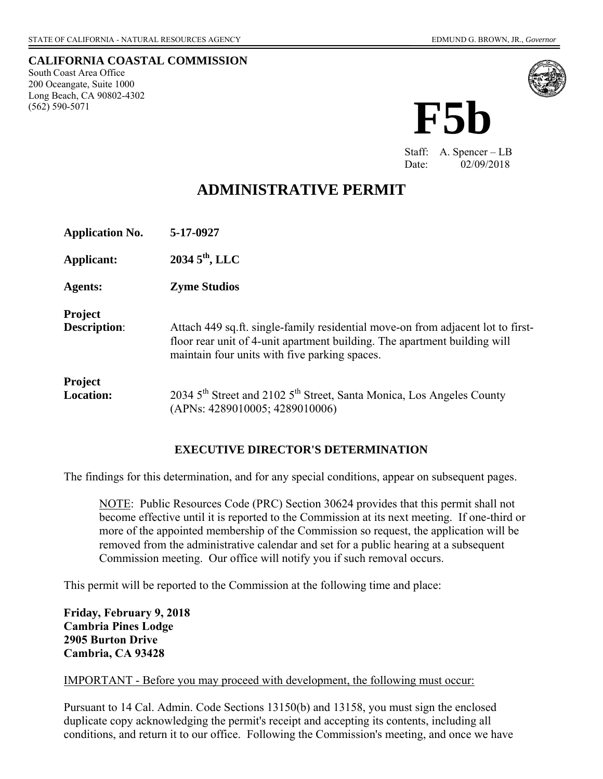#### **CALIFORNIA COASTAL COMMISSION**

South Coast Area Office 200 Oceangate, Suite 1000 Long Beach, CA 90802-4302 (562) 590-5071



Staff: A. Spencer – LB Date: 02/09/2018

# **ADMINISTRATIVE PERMIT**

| <b>Application No.</b>                | 5-17-0927                                                                                                                                                                                                     |
|---------------------------------------|---------------------------------------------------------------------------------------------------------------------------------------------------------------------------------------------------------------|
| Applicant:                            | $20345^{\text{th}}$ , LLC                                                                                                                                                                                     |
| <b>Agents:</b>                        | <b>Zyme Studios</b>                                                                                                                                                                                           |
| <b>Project</b><br><b>Description:</b> | Attach 449 sq.ft. single-family residential move-on from adjacent lot to first-<br>floor rear unit of 4-unit apartment building. The apartment building will<br>maintain four units with five parking spaces. |
| <b>Project</b><br><b>Location:</b>    | 2034 5 <sup>th</sup> Street and 2102 5 <sup>th</sup> Street, Santa Monica, Los Angeles County<br>(APNs: 4289010005; 4289010006)                                                                               |

#### **EXECUTIVE DIRECTOR'S DETERMINATION**

The findings for this determination, and for any special conditions, appear on subsequent pages.

NOTE: Public Resources Code (PRC) Section 30624 provides that this permit shall not become effective until it is reported to the Commission at its next meeting. If one-third or more of the appointed membership of the Commission so request, the application will be removed from the administrative calendar and set for a public hearing at a subsequent Commission meeting. Our office will notify you if such removal occurs.

This permit will be reported to the Commission at the following time and place:

**Friday, February 9, 2018 Cambria Pines Lodge 2905 Burton Drive Cambria, CA 93428** 

IMPORTANT - Before you may proceed with development, the following must occur:

Pursuant to 14 Cal. Admin. Code Sections 13150(b) and 13158, you must sign the enclosed duplicate copy acknowledging the permit's receipt and accepting its contents, including all conditions, and return it to our office. Following the Commission's meeting, and once we have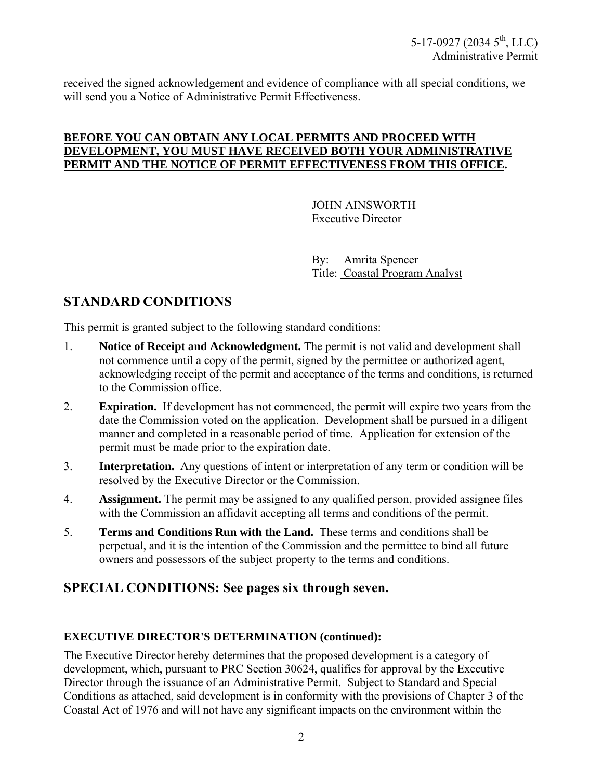received the signed acknowledgement and evidence of compliance with all special conditions, we will send you a Notice of Administrative Permit Effectiveness.

#### **BEFORE YOU CAN OBTAIN ANY LOCAL PERMITS AND PROCEED WITH DEVELOPMENT, YOU MUST HAVE RECEIVED BOTH YOUR ADMINISTRATIVE PERMIT AND THE NOTICE OF PERMIT EFFECTIVENESS FROM THIS OFFICE.**

 JOHN AINSWORTH Executive Director

 By: Amrita Spencer Title: Coastal Program Analyst

# **STANDARD CONDITIONS**

This permit is granted subject to the following standard conditions:

- 1. **Notice of Receipt and Acknowledgment.** The permit is not valid and development shall not commence until a copy of the permit, signed by the permittee or authorized agent, acknowledging receipt of the permit and acceptance of the terms and conditions, is returned to the Commission office.
- 2. **Expiration.** If development has not commenced, the permit will expire two years from the date the Commission voted on the application. Development shall be pursued in a diligent manner and completed in a reasonable period of time. Application for extension of the permit must be made prior to the expiration date.
- 3. **Interpretation.** Any questions of intent or interpretation of any term or condition will be resolved by the Executive Director or the Commission.
- 4. **Assignment.** The permit may be assigned to any qualified person, provided assignee files with the Commission an affidavit accepting all terms and conditions of the permit.
- 5. **Terms and Conditions Run with the Land.** These terms and conditions shall be perpetual, and it is the intention of the Commission and the permittee to bind all future owners and possessors of the subject property to the terms and conditions.

## **SPECIAL CONDITIONS: See pages six through seven.**

#### **EXECUTIVE DIRECTOR'S DETERMINATION (continued):**

The Executive Director hereby determines that the proposed development is a category of development, which, pursuant to PRC Section 30624, qualifies for approval by the Executive Director through the issuance of an Administrative Permit. Subject to Standard and Special Conditions as attached, said development is in conformity with the provisions of Chapter 3 of the Coastal Act of 1976 and will not have any significant impacts on the environment within the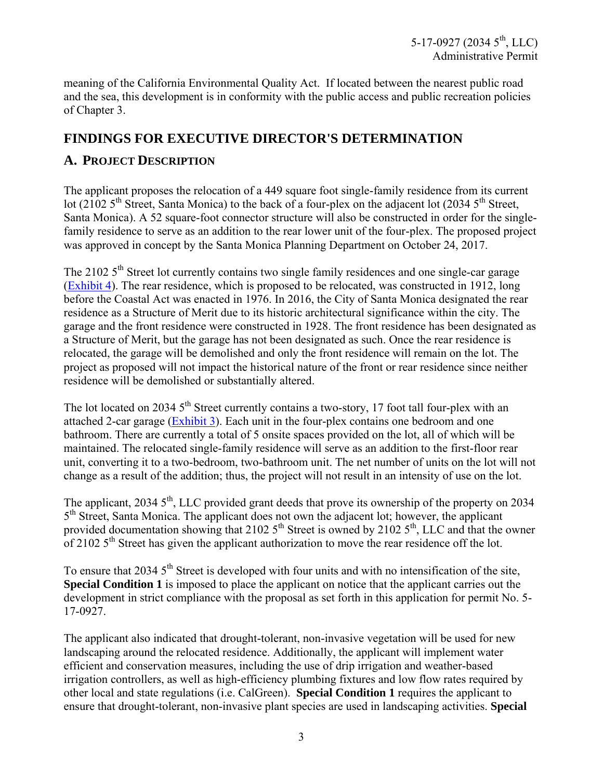meaning of the California Environmental Quality Act. If located between the nearest public road and the sea, this development is in conformity with the public access and public recreation policies of Chapter 3.

## **FINDINGS FOR EXECUTIVE DIRECTOR'S DETERMINATION**

## **A. PROJECT DESCRIPTION**

The applicant proposes the relocation of a 449 square foot single-family residence from its current lot (2102  $5<sup>th</sup>$  Street, Santa Monica) to the back of a four-plex on the adjacent lot (2034  $5<sup>th</sup>$  Street, Santa Monica). A 52 square-foot connector structure will also be constructed in order for the singlefamily residence to serve as an addition to the rear lower unit of the four-plex. The proposed project was approved in concept by the Santa Monica Planning Department on October 24, 2017.

The 2102  $5<sup>th</sup>$  Street lot currently contains two single family residences and one single-car garage [\(Exhibit 4\)](https://documents.coastal.ca.gov/reports/2018/2/F5b/F5b-2-2018-exhibits.pdf). The rear residence, which is proposed to be relocated, was constructed in 1912, long before the Coastal Act was enacted in 1976. In 2016, the City of Santa Monica designated the rear residence as a Structure of Merit due to its historic architectural significance within the city. The garage and the front residence were constructed in 1928. The front residence has been designated as a Structure of Merit, but the garage has not been designated as such. Once the rear residence is relocated, the garage will be demolished and only the front residence will remain on the lot. The project as proposed will not impact the historical nature of the front or rear residence since neither residence will be demolished or substantially altered.

The lot located on 2034 5<sup>th</sup> Street currently contains a two-story, 17 foot tall four-plex with an attached 2-car garage [\(Exhibit 3\)](https://documents.coastal.ca.gov/reports/2018/2/F5b/F5b-2-2018-exhibits.pdf). Each unit in the four-plex contains one bedroom and one bathroom. There are currently a total of 5 onsite spaces provided on the lot, all of which will be maintained. The relocated single-family residence will serve as an addition to the first-floor rear unit, converting it to a two-bedroom, two-bathroom unit. The net number of units on the lot will not change as a result of the addition; thus, the project will not result in an intensity of use on the lot.

The applicant,  $20345^{\text{th}}$ , LLC provided grant deeds that prove its ownership of the property on 2034 5<sup>th</sup> Street, Santa Monica. The applicant does not own the adjacent lot; however, the applicant provided documentation showing that 2102  $5<sup>th</sup>$  Street is owned by 2102  $5<sup>th</sup>$ , LLC and that the owner of 2102  $5<sup>th</sup>$  Street has given the applicant authorization to move the rear residence off the lot.

To ensure that 2034  $5<sup>th</sup>$  Street is developed with four units and with no intensification of the site, **Special Condition 1** is imposed to place the applicant on notice that the applicant carries out the development in strict compliance with the proposal as set forth in this application for permit No. 5- 17-0927.

The applicant also indicated that drought-tolerant, non-invasive vegetation will be used for new landscaping around the relocated residence. Additionally, the applicant will implement water efficient and conservation measures, including the use of drip irrigation and weather-based irrigation controllers, as well as high-efficiency plumbing fixtures and low flow rates required by other local and state regulations (i.e. CalGreen). **Special Condition 1** requires the applicant to ensure that drought-tolerant, non-invasive plant species are used in landscaping activities. **Special**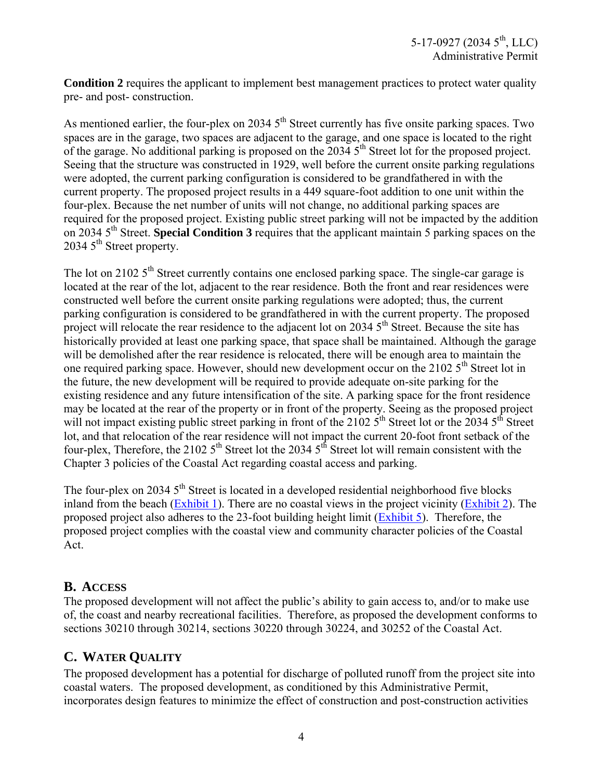**Condition 2** requires the applicant to implement best management practices to protect water quality pre- and post- construction.

As mentioned earlier, the four-plex on 2034  $5<sup>th</sup>$  Street currently has five onsite parking spaces. Two spaces are in the garage, two spaces are adjacent to the garage, and one space is located to the right of the garage. No additional parking is proposed on the  $2034.5<sup>th</sup>$  Street lot for the proposed project. Seeing that the structure was constructed in 1929, well before the current onsite parking regulations were adopted, the current parking configuration is considered to be grandfathered in with the current property. The proposed project results in a 449 square-foot addition to one unit within the four-plex. Because the net number of units will not change, no additional parking spaces are required for the proposed project. Existing public street parking will not be impacted by the addition on 2034 5th Street. **Special Condition 3** requires that the applicant maintain 5 parking spaces on the  $20345^{\text{th}}$  Street property.

The lot on 2102  $5<sup>th</sup>$  Street currently contains one enclosed parking space. The single-car garage is located at the rear of the lot, adjacent to the rear residence. Both the front and rear residences were constructed well before the current onsite parking regulations were adopted; thus, the current parking configuration is considered to be grandfathered in with the current property. The proposed project will relocate the rear residence to the adjacent lot on 2034 5<sup>th</sup> Street. Because the site has historically provided at least one parking space, that space shall be maintained. Although the garage will be demolished after the rear residence is relocated, there will be enough area to maintain the one required parking space. However, should new development occur on the 2102  $5<sup>th</sup>$  Street lot in the future, the new development will be required to provide adequate on-site parking for the existing residence and any future intensification of the site. A parking space for the front residence may be located at the rear of the property or in front of the property. Seeing as the proposed project will not impact existing public street parking in front of the  $2102\,5^{th}$  Street lot or the 2034  $5^{th}$  Street lot, and that relocation of the rear residence will not impact the current 20-foot front setback of the four-plex, Therefore, the 2102  $5<sup>th</sup>$  Street lot the 2034  $5<sup>th</sup>$  Street lot will remain consistent with the Chapter 3 policies of the Coastal Act regarding coastal access and parking.

The four-plex on 2034  $5<sup>th</sup>$  Street is located in a developed residential neighborhood five blocks inland from the beach [\(Exhibit 1\)](https://documents.coastal.ca.gov/reports/2018/2/F5b/F5b-2-2018-exhibits.pdf). There are no coastal views in the project vicinity [\(Exhibit 2\)](https://documents.coastal.ca.gov/reports/2018/2/F5b/F5b-2-2018-exhibits.pdf). The proposed project also adheres to the 23-foot building height limit [\(Exhibit 5\)](https://documents.coastal.ca.gov/reports/2018/2/F5b/F5b-2-2018-exhibits.pdf). Therefore, the proposed project complies with the coastal view and community character policies of the Coastal Act.

### **B. ACCESS**

The proposed development will not affect the public's ability to gain access to, and/or to make use of, the coast and nearby recreational facilities. Therefore, as proposed the development conforms to sections 30210 through 30214, sections 30220 through 30224, and 30252 of the Coastal Act.

# **C. WATER QUALITY**

The proposed development has a potential for discharge of polluted runoff from the project site into coastal waters. The proposed development, as conditioned by this Administrative Permit, incorporates design features to minimize the effect of construction and post-construction activities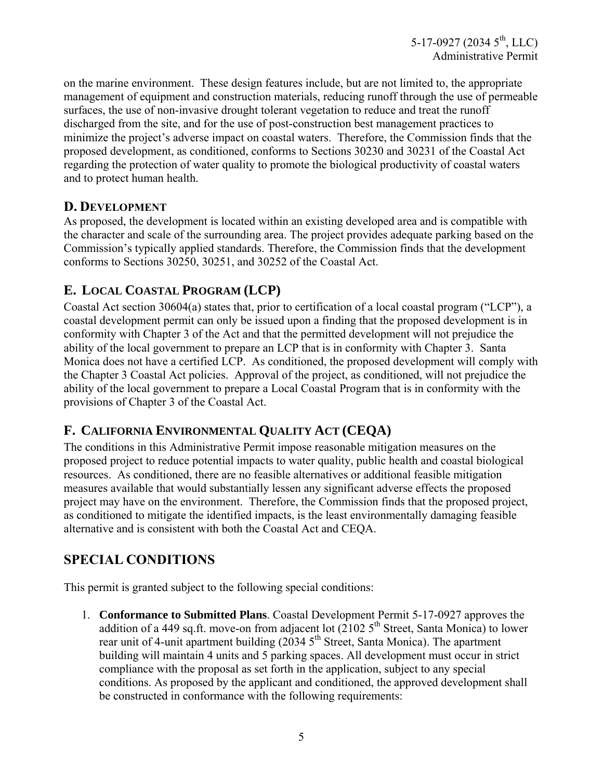5-17-0927 (2034 5<sup>th</sup>, LLC) Administrative Permit

on the marine environment. These design features include, but are not limited to, the appropriate management of equipment and construction materials, reducing runoff through the use of permeable surfaces, the use of non-invasive drought tolerant vegetation to reduce and treat the runoff discharged from the site, and for the use of post-construction best management practices to minimize the project's adverse impact on coastal waters. Therefore, the Commission finds that the proposed development, as conditioned, conforms to Sections 30230 and 30231 of the Coastal Act regarding the protection of water quality to promote the biological productivity of coastal waters and to protect human health.

### **D. DEVELOPMENT**

As proposed, the development is located within an existing developed area and is compatible with the character and scale of the surrounding area. The project provides adequate parking based on the Commission's typically applied standards. Therefore, the Commission finds that the development conforms to Sections 30250, 30251, and 30252 of the Coastal Act.

## **E. LOCAL COASTAL PROGRAM (LCP)**

Coastal Act section 30604(a) states that, prior to certification of a local coastal program ("LCP"), a coastal development permit can only be issued upon a finding that the proposed development is in conformity with Chapter 3 of the Act and that the permitted development will not prejudice the ability of the local government to prepare an LCP that is in conformity with Chapter 3. Santa Monica does not have a certified LCP. As conditioned, the proposed development will comply with the Chapter 3 Coastal Act policies. Approval of the project, as conditioned, will not prejudice the ability of the local government to prepare a Local Coastal Program that is in conformity with the provisions of Chapter 3 of the Coastal Act.

### **F. CALIFORNIA ENVIRONMENTAL QUALITY ACT (CEQA)**

The conditions in this Administrative Permit impose reasonable mitigation measures on the proposed project to reduce potential impacts to water quality, public health and coastal biological resources. As conditioned, there are no feasible alternatives or additional feasible mitigation measures available that would substantially lessen any significant adverse effects the proposed project may have on the environment. Therefore, the Commission finds that the proposed project, as conditioned to mitigate the identified impacts, is the least environmentally damaging feasible alternative and is consistent with both the Coastal Act and CEQA.

## **SPECIAL CONDITIONS**

This permit is granted subject to the following special conditions:

1. **Conformance to Submitted Plans**. Coastal Development Permit 5-17-0927 approves the addition of a 449 sq.ft. move-on from adjacent lot  $(21025<sup>th</sup>$  Street, Santa Monica) to lower rear unit of 4-unit apartment building (2034 5<sup>th</sup> Street, Santa Monica). The apartment building will maintain 4 units and 5 parking spaces. All development must occur in strict compliance with the proposal as set forth in the application, subject to any special conditions. As proposed by the applicant and conditioned, the approved development shall be constructed in conformance with the following requirements: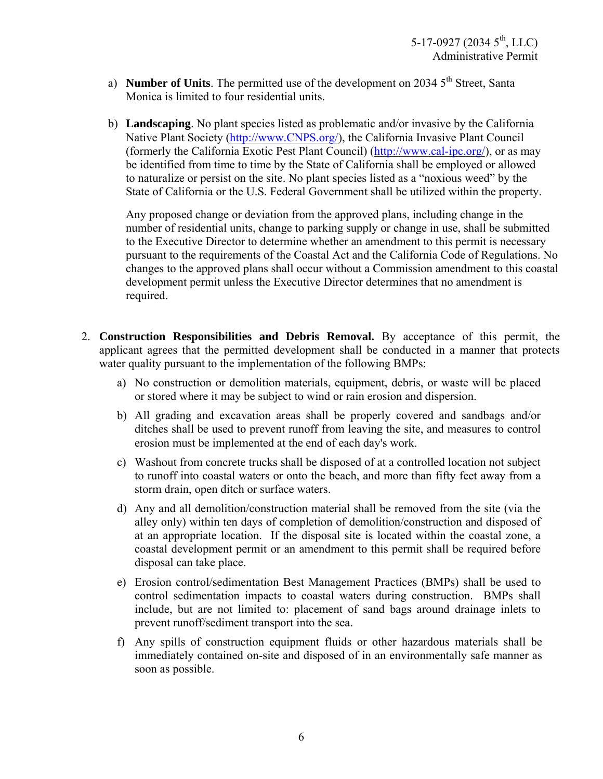- a) **Number of Units**. The permitted use of the development on 2034 5<sup>th</sup> Street, Santa Monica is limited to four residential units.
- b) **Landscaping**. No plant species listed as problematic and/or invasive by the California Native Plant Society [\(http://www.CNPS.org/\)](http://www.cnps.org/), the California Invasive Plant Council (formerly the California Exotic Pest Plant Council) [\(http://www.cal-ipc.org/\)](http://www.cal-ipc.org/), or as may be identified from time to time by the State of California shall be employed or allowed to naturalize or persist on the site. No plant species listed as a "noxious weed" by the State of California or the U.S. Federal Government shall be utilized within the property.

Any proposed change or deviation from the approved plans, including change in the number of residential units, change to parking supply or change in use, shall be submitted to the Executive Director to determine whether an amendment to this permit is necessary pursuant to the requirements of the Coastal Act and the California Code of Regulations. No changes to the approved plans shall occur without a Commission amendment to this coastal development permit unless the Executive Director determines that no amendment is required.

- 2. **Construction Responsibilities and Debris Removal.** By acceptance of this permit, the applicant agrees that the permitted development shall be conducted in a manner that protects water quality pursuant to the implementation of the following BMPs:
	- a) No construction or demolition materials, equipment, debris, or waste will be placed or stored where it may be subject to wind or rain erosion and dispersion.
	- b) All grading and excavation areas shall be properly covered and sandbags and/or ditches shall be used to prevent runoff from leaving the site, and measures to control erosion must be implemented at the end of each day's work.
	- c) Washout from concrete trucks shall be disposed of at a controlled location not subject to runoff into coastal waters or onto the beach, and more than fifty feet away from a storm drain, open ditch or surface waters.
	- d) Any and all demolition/construction material shall be removed from the site (via the alley only) within ten days of completion of demolition/construction and disposed of at an appropriate location. If the disposal site is located within the coastal zone, a coastal development permit or an amendment to this permit shall be required before disposal can take place.
	- e) Erosion control/sedimentation Best Management Practices (BMPs) shall be used to control sedimentation impacts to coastal waters during construction. BMPs shall include, but are not limited to: placement of sand bags around drainage inlets to prevent runoff/sediment transport into the sea.
	- f) Any spills of construction equipment fluids or other hazardous materials shall be immediately contained on-site and disposed of in an environmentally safe manner as soon as possible.